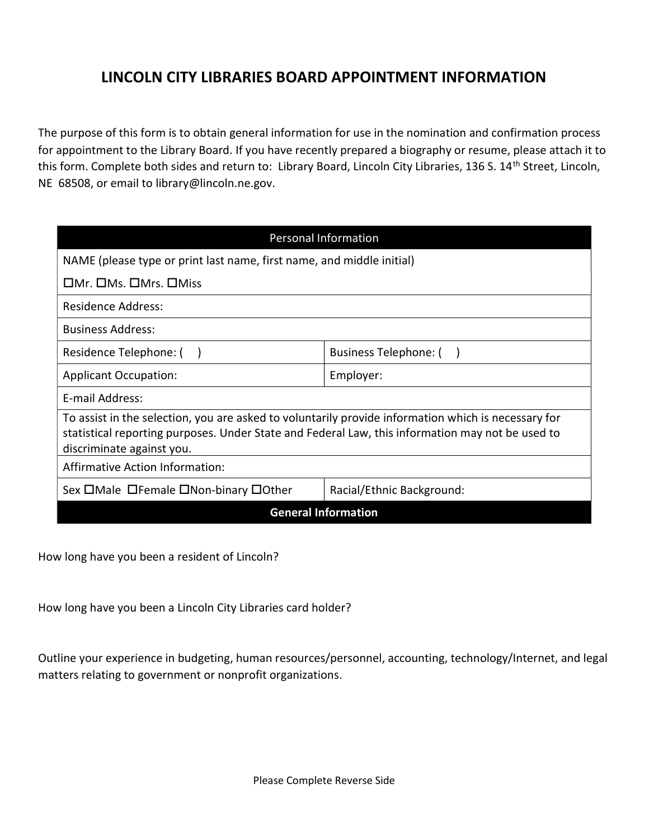## LINCOLN CITY LIBRARIES BOARD APPOINTMENT INFORMATION

The purpose of this form is to obtain general information for use in the nomination and confirmation process for appointment to the Library Board. If you have recently prepared a biography or resume, please attach it to this form. Complete both sides and return to: Library Board, Lincoln City Libraries, 136 S. 14<sup>th</sup> Street, Lincoln, NE 68508, or email to library@lincoln.ne.gov.

| <b>Personal Information</b>                                                                                                                                                                                                          |                           |
|--------------------------------------------------------------------------------------------------------------------------------------------------------------------------------------------------------------------------------------|---------------------------|
| NAME (please type or print last name, first name, and middle initial)                                                                                                                                                                |                           |
| $\Box$ Mr. $\Box$ Ms. $\Box$ Miss                                                                                                                                                                                                    |                           |
| <b>Residence Address:</b>                                                                                                                                                                                                            |                           |
| <b>Business Address:</b>                                                                                                                                                                                                             |                           |
| Residence Telephone: (                                                                                                                                                                                                               | Business Telephone: (     |
| <b>Applicant Occupation:</b>                                                                                                                                                                                                         | Employer:                 |
| E-mail Address:                                                                                                                                                                                                                      |                           |
| To assist in the selection, you are asked to voluntarily provide information which is necessary for<br>statistical reporting purposes. Under State and Federal Law, this information may not be used to<br>discriminate against you. |                           |
| Affirmative Action Information:                                                                                                                                                                                                      |                           |
| Sex OMale OFemale ONon-binary OOther                                                                                                                                                                                                 | Racial/Ethnic Background: |
| <b>General Information</b>                                                                                                                                                                                                           |                           |

How long have you been a resident of Lincoln?

How long have you been a Lincoln City Libraries card holder?

Outline your experience in budgeting, human resources/personnel, accounting, technology/Internet, and legal matters relating to government or nonprofit organizations.